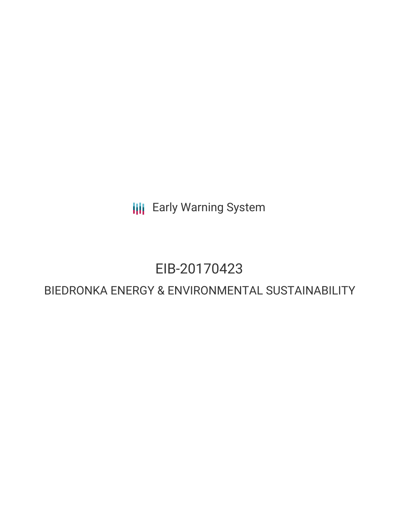**III** Early Warning System

## EIB-20170423

### BIEDRONKA ENERGY & ENVIRONMENTAL SUSTAINABILITY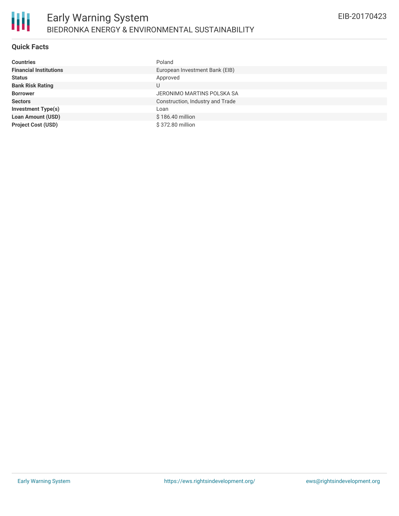#### **Quick Facts**

| <b>Countries</b>              | Poland                           |
|-------------------------------|----------------------------------|
| <b>Financial Institutions</b> | European Investment Bank (EIB)   |
| <b>Status</b>                 | Approved                         |
| <b>Bank Risk Rating</b>       | U                                |
| <b>Borrower</b>               | JERONIMO MARTINS POLSKA SA       |
| <b>Sectors</b>                | Construction, Industry and Trade |
| <b>Investment Type(s)</b>     | Loan                             |
| <b>Loan Amount (USD)</b>      | \$186.40 million                 |
| <b>Project Cost (USD)</b>     | \$372.80 million                 |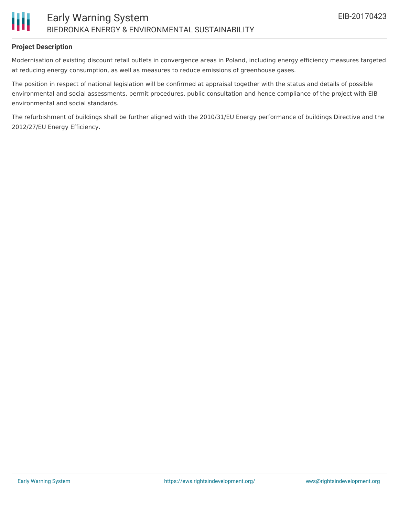

#### **Project Description**

Modernisation of existing discount retail outlets in convergence areas in Poland, including energy efficiency measures targeted at reducing energy consumption, as well as measures to reduce emissions of greenhouse gases.

The position in respect of national legislation will be confirmed at appraisal together with the status and details of possible environmental and social assessments, permit procedures, public consultation and hence compliance of the project with EIB environmental and social standards.

The refurbishment of buildings shall be further aligned with the 2010/31/EU Energy performance of buildings Directive and the 2012/27/EU Energy Efficiency.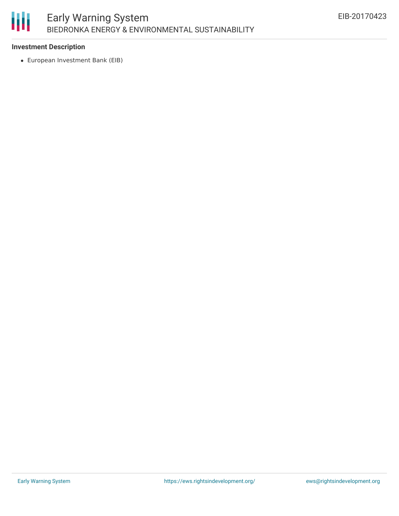# 朋

#### **Investment Description**

European Investment Bank (EIB)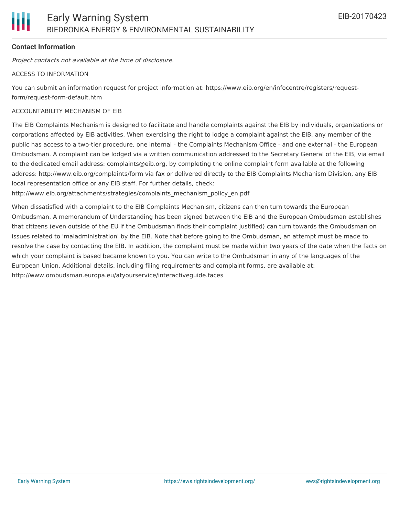#### **Contact Information**

Project contacts not available at the time of disclosure.

#### ACCESS TO INFORMATION

You can submit an information request for project information at: https://www.eib.org/en/infocentre/registers/requestform/request-form-default.htm

#### ACCOUNTABILITY MECHANISM OF EIB

The EIB Complaints Mechanism is designed to facilitate and handle complaints against the EIB by individuals, organizations or corporations affected by EIB activities. When exercising the right to lodge a complaint against the EIB, any member of the public has access to a two-tier procedure, one internal - the Complaints Mechanism Office - and one external - the European Ombudsman. A complaint can be lodged via a written communication addressed to the Secretary General of the EIB, via email to the dedicated email address: complaints@eib.org, by completing the online complaint form available at the following address: http://www.eib.org/complaints/form via fax or delivered directly to the EIB Complaints Mechanism Division, any EIB local representation office or any EIB staff. For further details, check:

http://www.eib.org/attachments/strategies/complaints\_mechanism\_policy\_en.pdf

When dissatisfied with a complaint to the EIB Complaints Mechanism, citizens can then turn towards the European Ombudsman. A memorandum of Understanding has been signed between the EIB and the European Ombudsman establishes that citizens (even outside of the EU if the Ombudsman finds their complaint justified) can turn towards the Ombudsman on issues related to 'maladministration' by the EIB. Note that before going to the Ombudsman, an attempt must be made to resolve the case by contacting the EIB. In addition, the complaint must be made within two years of the date when the facts on which your complaint is based became known to you. You can write to the Ombudsman in any of the languages of the European Union. Additional details, including filing requirements and complaint forms, are available at: http://www.ombudsman.europa.eu/atyourservice/interactiveguide.faces